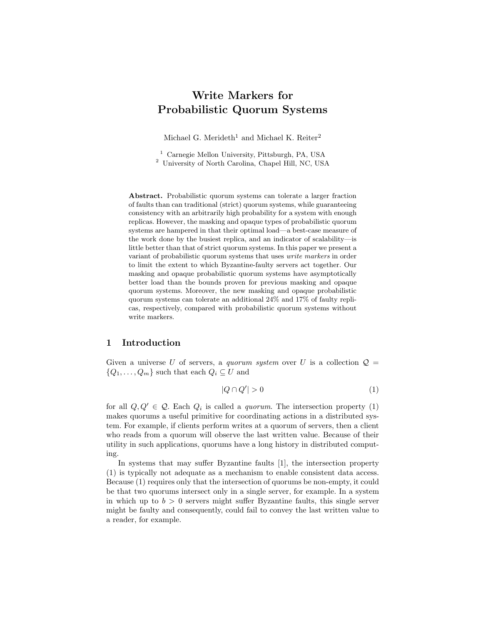# Write Markers for Probabilistic Quorum Systems

Michael G. Merideth<sup>1</sup> and Michael K. Reiter<sup>2</sup>

<sup>1</sup> Carnegie Mellon University, Pittsburgh, PA, USA <sup>2</sup> University of North Carolina, Chapel Hill, NC, USA

Abstract. Probabilistic quorum systems can tolerate a larger fraction of faults than can traditional (strict) quorum systems, while guaranteeing consistency with an arbitrarily high probability for a system with enough replicas. However, the masking and opaque types of probabilistic quorum systems are hampered in that their optimal load—a best-case measure of the work done by the busiest replica, and an indicator of scalability—is little better than that of strict quorum systems. In this paper we present a variant of probabilistic quorum systems that uses write markers in order to limit the extent to which Byzantine-faulty servers act together. Our masking and opaque probabilistic quorum systems have asymptotically better load than the bounds proven for previous masking and opaque quorum systems. Moreover, the new masking and opaque probabilistic quorum systems can tolerate an additional 24% and 17% of faulty replicas, respectively, compared with probabilistic quorum systems without write markers.

# 1 Introduction

Given a universe U of servers, a quorum system over U is a collection  $\mathcal{Q} =$  $\{Q_1, \ldots, Q_m\}$  such that each  $Q_i \subseteq U$  and

$$
|Q \cap Q'| > 0 \tag{1}
$$

for all  $Q, Q' \in \mathcal{Q}$ . Each  $Q_i$  is called a *quorum*. The intersection property (1) makes quorums a useful primitive for coordinating actions in a distributed system. For example, if clients perform writes at a quorum of servers, then a client who reads from a quorum will observe the last written value. Because of their utility in such applications, quorums have a long history in distributed computing.

In systems that may suffer Byzantine faults [1], the intersection property (1) is typically not adequate as a mechanism to enable consistent data access. Because (1) requires only that the intersection of quorums be non-empty, it could be that two quorums intersect only in a single server, for example. In a system in which up to  $b > 0$  servers might suffer Byzantine faults, this single server might be faulty and consequently, could fail to convey the last written value to a reader, for example.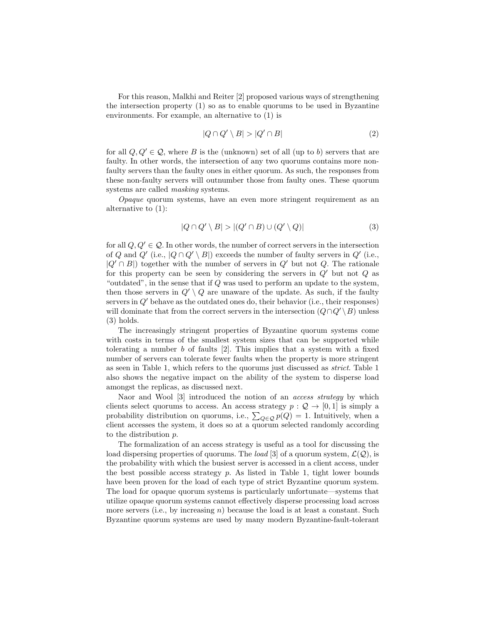For this reason, Malkhi and Reiter [2] proposed various ways of strengthening the intersection property (1) so as to enable quorums to be used in Byzantine environments. For example, an alternative to (1) is

$$
|Q \cap Q' \setminus B| > |Q' \cap B| \tag{2}
$$

for all  $Q, Q' \in \mathcal{Q}$ , where B is the (unknown) set of all (up to b) servers that are faulty. In other words, the intersection of any two quorums contains more nonfaulty servers than the faulty ones in either quorum. As such, the responses from these non-faulty servers will outnumber those from faulty ones. These quorum systems are called masking systems.

Opaque quorum systems, have an even more stringent requirement as an alternative to (1):

$$
|Q \cap Q' \setminus B| > |(Q' \cap B) \cup (Q' \setminus Q)| \tag{3}
$$

for all  $Q, Q' \in \mathcal{Q}$ . In other words, the number of correct servers in the intersection of Q and Q' (i.e.,  $|Q \cap Q' \setminus B|$ ) exceeds the number of faulty servers in  $Q'$  (i.e.,  $|Q' \cap B|$ ) together with the number of servers in  $Q'$  but not  $Q$ . The rationale for this property can be seen by considering the servers in  $Q'$  but not  $Q$  as "outdated", in the sense that if  $Q$  was used to perform an update to the system, then those servers in  $Q' \setminus Q$  are unaware of the update. As such, if the faulty servers in Q′ behave as the outdated ones do, their behavior (i.e., their responses) will dominate that from the correct servers in the intersection  $(Q \cap Q' \setminus B)$  unless (3) holds.

The increasingly stringent properties of Byzantine quorum systems come with costs in terms of the smallest system sizes that can be supported while tolerating a number  $b$  of faults  $[2]$ . This implies that a system with a fixed number of servers can tolerate fewer faults when the property is more stringent as seen in Table 1, which refers to the quorums just discussed as strict. Table 1 also shows the negative impact on the ability of the system to disperse load amongst the replicas, as discussed next.

Naor and Wool [3] introduced the notion of an *access strategy* by which clients select quorums to access. An access strategy  $p: \mathcal{Q} \to [0,1]$  is simply a probability distribution on quorums, i.e.,  $\sum_{Q \in \mathcal{Q}} p(Q) = 1$ . Intuitively, when a client accesses the system, it does so at a quorum selected randomly according to the distribution p.

The formalization of an access strategy is useful as a tool for discussing the load dispersing properties of quorums. The *load* [3] of a quorum system,  $\mathcal{L}(\mathcal{Q})$ , is the probability with which the busiest server is accessed in a client access, under the best possible access strategy  $p$ . As listed in Table 1, tight lower bounds have been proven for the load of each type of strict Byzantine quorum system. The load for opaque quorum systems is particularly unfortunate—systems that utilize opaque quorum systems cannot effectively disperse processing load across more servers (i.e., by increasing  $n$ ) because the load is at least a constant. Such Byzantine quorum systems are used by many modern Byzantine-fault-tolerant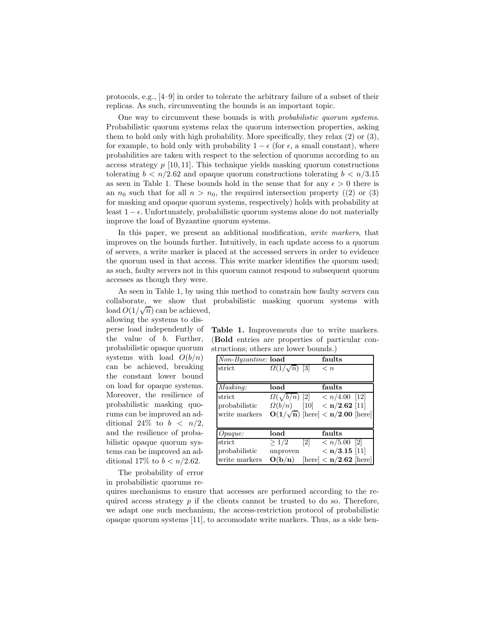protocols, e.g., [4–9] in order to tolerate the arbitrary failure of a subset of their replicas. As such, circumventing the bounds is an important topic.

One way to circumvent these bounds is with probabilistic quorum systems. Probabilistic quorum systems relax the quorum intersection properties, asking them to hold only with high probability. More specifically, they relax (2) or (3), for example, to hold only with probability  $1 - \epsilon$  (for  $\epsilon$ , a small constant), where probabilities are taken with respect to the selection of quorums according to an access strategy  $p$  [10, 11]. This technique yields masking quorum constructions tolerating  $b < n/2.62$  and opaque quorum constructions tolerating  $b < n/3.15$ as seen in Table 1. These bounds hold in the sense that for any  $\epsilon > 0$  there is an  $n_0$  such that for all  $n > n_0$ , the required intersection property ((2) or (3) for masking and opaque quorum systems, respectively) holds with probability at least  $1 - \epsilon$ . Unfortunately, probabilistic quorum systems alone do not materially improve the load of Byzantine quorum systems.

In this paper, we present an additional modification, write markers, that improves on the bounds further. Intuitively, in each update access to a quorum of servers, a write marker is placed at the accessed servers in order to evidence the quorum used in that access. This write marker identifies the quorum used; as such, faulty servers not in this quorum cannot respond to subsequent quorum accesses as though they were.

As seen in Table 1, by using this method to constrain how faulty servers can collaborate, we show that probabilistic masking quorum systems with load  $O(1/\sqrt{n})$  can be achieved, allowing the systems to dis-

perse load independently of the value of b. Further, probabilistic opaque quorum systems with load  $O(b/n)$ can be achieved, breaking the constant lower bound on load for opaque systems. Moreover, the resilience of probabilistic masking quorums can be improved an additional 24\% to  $b < n/2$ , and the resilience of probabilistic opaque quorum systems can be improved an additional 17% to  $b < n/2.62$ .

Table 1. Improvements due to write markers. (Bold entries are properties of particular constructions; others are lower bounds.)

| Non-Byzantine: load |                          |                              | faults                                                 |  |
|---------------------|--------------------------|------------------------------|--------------------------------------------------------|--|
| strict              | $\Omega(1/\sqrt{n})$ [3] |                              | $\leq n$                                               |  |
|                     |                          |                              |                                                        |  |
| Masking:            | load                     |                              | faults                                                 |  |
| strict              |                          |                              | $\Omega(\sqrt{b/n})$ [2] $\langle n/4.00 \rangle$ [12] |  |
| probabilistic       |                          |                              | $\Omega(b/n)$ [10] < <b>n</b> /2.62 [11]               |  |
| write markers       |                          |                              | $O(1/\sqrt{n})$ [here] < n/2.00 [here]                 |  |
|                     |                          |                              |                                                        |  |
| $O$ <i>paque</i> :  | load                     |                              | faults                                                 |  |
| strict              | >1/2                     | $\left\lceil 2 \right\rceil$ | $\langle n/5.00 \space$ [2]                            |  |
| probabilistic       | unproven                 |                              | $<$ n/3.15 [11]                                        |  |
| write markers       | O(b/n)                   |                              | $[\text{here}] < \mathbf{n}/2.62$ [here]               |  |

The probability of error in probabilistic quorums re-

quires mechanisms to ensure that accesses are performed according to the required access strategy  $p$  if the clients cannot be trusted to do so. Therefore, we adapt one such mechanism, the access-restriction protocol of probabilistic opaque quorum systems [11], to accomodate write markers. Thus, as a side ben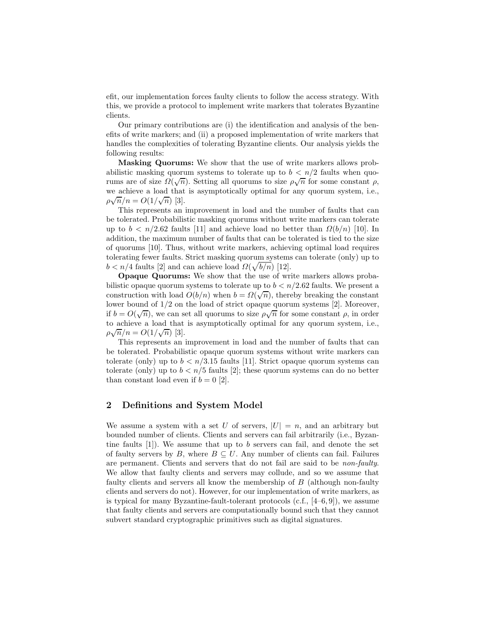efit, our implementation forces faulty clients to follow the access strategy. With this, we provide a protocol to implement write markers that tolerates Byzantine clients.

Our primary contributions are (i) the identification and analysis of the benefits of write markers; and (ii) a proposed implementation of write markers that handles the complexities of tolerating Byzantine clients. Our analysis yields the following results:

Masking Quorums: We show that the use of write markers allows probabilistic masking quorum systems to tolerate up to  $b < n/2$  faults when quorums are of size  $\Omega(\sqrt{n})$ . Setting all quorums to size  $\rho\sqrt{n}$  for some constant  $\rho$ , we achieve a load that is asymptotically optimal for any quorum system, i.e.,  $\rho \sqrt{n}/n = O(1/\sqrt{n})$  [3].

This represents an improvement in load and the number of faults that can be tolerated. Probabilistic masking quorums without write markers can tolerate up to  $b < n/2.62$  faults [11] and achieve load no better than  $\Omega(b/n)$  [10]. In addition, the maximum number of faults that can be tolerated is tied to the size of quorums [10]. Thus, without write markers, achieving optimal load requires tolerating fewer faults. Strict masking quorum systems can tolerate (only) up to  $b < n/4$  faults [2] and can achieve load  $\Omega(\sqrt{b/n})$  [12].

Opaque Quorums: We show that the use of write markers allows probabilistic opaque quorum systems to tolerate up to  $b < n/2.62$  faults. We present a construction with load  $O(b/n)$  when  $b = \Omega(\sqrt{n})$ , thereby breaking the constant lower bound of 1/2 on the load of strict opaque quorum systems [2]. Moreover, if  $b = O(\sqrt{n})$ , we can set all quorums to size  $\rho \sqrt{n}$  for some constant  $\rho$ , in order to achieve a load that is asymptotically optimal for any quorum system, i.e.,  $\rho \sqrt{n}/n = O(1/\sqrt{n})$  [3].

This represents an improvement in load and the number of faults that can be tolerated. Probabilistic opaque quorum systems without write markers can tolerate (only) up to  $b < n/3.15$  faults [11]. Strict opaque quorum systems can tolerate (only) up to  $b < n/5$  faults [2]; these quorum systems can do no better than constant load even if  $b = 0$  [2].

# 2 Definitions and System Model

We assume a system with a set U of servers,  $|U| = n$ , and an arbitrary but bounded number of clients. Clients and servers can fail arbitrarily (i.e., Byzantine faults  $[1]$ ). We assume that up to b servers can fail, and denote the set of faulty servers by B, where  $B \subseteq U$ . Any number of clients can fail. Failures are permanent. Clients and servers that do not fail are said to be non-faulty. We allow that faulty clients and servers may collude, and so we assume that faulty clients and servers all know the membership of B (although non-faulty clients and servers do not). However, for our implementation of write markers, as is typical for many Byzantine-fault-tolerant protocols  $(c.f., [4–6, 9])$ , we assume that faulty clients and servers are computationally bound such that they cannot subvert standard cryptographic primitives such as digital signatures.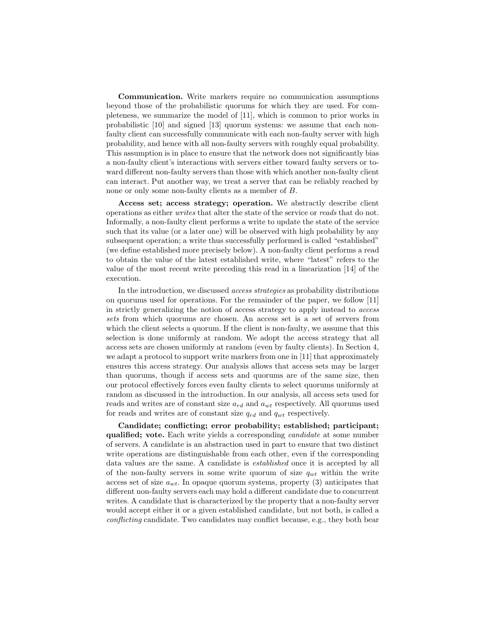Communication. Write markers require no communication assumptions beyond those of the probabilistic quorums for which they are used. For completeness, we summarize the model of [11], which is common to prior works in probabilistic [10] and signed [13] quorum systems: we assume that each nonfaulty client can successfully communicate with each non-faulty server with high probability, and hence with all non-faulty servers with roughly equal probability. This assumption is in place to ensure that the network does not significantly bias a non-faulty client's interactions with servers either toward faulty servers or toward different non-faulty servers than those with which another non-faulty client can interact. Put another way, we treat a server that can be reliably reached by none or only some non-faulty clients as a member of B.

Access set; access strategy; operation. We abstractly describe client operations as either writes that alter the state of the service or reads that do not. Informally, a non-faulty client performs a write to update the state of the service such that its value (or a later one) will be observed with high probability by any subsequent operation; a write thus successfully performed is called "established" (we define established more precisely below). A non-faulty client performs a read to obtain the value of the latest established write, where "latest" refers to the value of the most recent write preceding this read in a linearization [14] of the execution.

In the introduction, we discussed access strategies as probability distributions on quorums used for operations. For the remainder of the paper, we follow [11] in strictly generalizing the notion of access strategy to apply instead to access sets from which quorums are chosen. An access set is a set of servers from which the client selects a quorum. If the client is non-faulty, we assume that this selection is done uniformly at random. We adopt the access strategy that all access sets are chosen uniformly at random (even by faulty clients). In Section 4, we adapt a protocol to support write markers from one in [11] that approximately ensures this access strategy. Our analysis allows that access sets may be larger than quorums, though if access sets and quorums are of the same size, then our protocol effectively forces even faulty clients to select quorums uniformly at random as discussed in the introduction. In our analysis, all access sets used for reads and writes are of constant size  $a_{rd}$  and  $a_{wt}$  respectively. All quorums used for reads and writes are of constant size  $q_{rd}$  and  $q_{wt}$  respectively.

Candidate; conflicting; error probability; established; participant; qualified; vote. Each write yields a corresponding candidate at some number of servers. A candidate is an abstraction used in part to ensure that two distinct write operations are distinguishable from each other, even if the corresponding data values are the same. A candidate is established once it is accepted by all of the non-faulty servers in some write quorum of size  $q_{wt}$  within the write access set of size  $a_{wt}$ . In opaque quorum systems, property (3) anticipates that different non-faulty servers each may hold a different candidate due to concurrent writes. A candidate that is characterized by the property that a non-faulty server would accept either it or a given established candidate, but not both, is called a conflicting candidate. Two candidates may conflict because, e.g., they both bear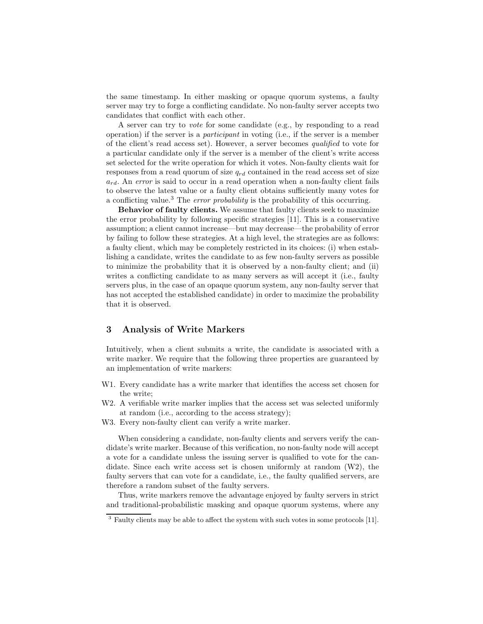the same timestamp. In either masking or opaque quorum systems, a faulty server may try to forge a conflicting candidate. No non-faulty server accepts two candidates that conflict with each other.

A server can try to vote for some candidate (e.g., by responding to a read operation) if the server is a participant in voting (i.e., if the server is a member of the client's read access set). However, a server becomes qualified to vote for a particular candidate only if the server is a member of the client's write access set selected for the write operation for which it votes. Non-faulty clients wait for responses from a read quorum of size  $q_{rd}$  contained in the read access set of size  $a_{rd}$ . An error is said to occur in a read operation when a non-faulty client fails to observe the latest value or a faulty client obtains sufficiently many votes for a conflicting value.<sup>3</sup> The *error probability* is the probability of this occurring.

Behavior of faulty clients. We assume that faulty clients seek to maximize the error probability by following specific strategies [11]. This is a conservative assumption; a client cannot increase—but may decrease—the probability of error by failing to follow these strategies. At a high level, the strategies are as follows: a faulty client, which may be completely restricted in its choices: (i) when establishing a candidate, writes the candidate to as few non-faulty servers as possible to minimize the probability that it is observed by a non-faulty client; and (ii) writes a conflicting candidate to as many servers as will accept it (i.e., faulty servers plus, in the case of an opaque quorum system, any non-faulty server that has not accepted the established candidate) in order to maximize the probability that it is observed.

# 3 Analysis of Write Markers

Intuitively, when a client submits a write, the candidate is associated with a write marker. We require that the following three properties are guaranteed by an implementation of write markers:

- W1. Every candidate has a write marker that identifies the access set chosen for the write;
- W2. A verifiable write marker implies that the access set was selected uniformly at random (i.e., according to the access strategy);
- W3. Every non-faulty client can verify a write marker.

When considering a candidate, non-faulty clients and servers verify the candidate's write marker. Because of this verification, no non-faulty node will accept a vote for a candidate unless the issuing server is qualified to vote for the candidate. Since each write access set is chosen uniformly at random (W2), the faulty servers that can vote for a candidate, i.e., the faulty qualified servers, are therefore a random subset of the faulty servers.

Thus, write markers remove the advantage enjoyed by faulty servers in strict and traditional-probabilistic masking and opaque quorum systems, where any

<sup>&</sup>lt;sup>3</sup> Faulty clients may be able to affect the system with such votes in some protocols [11].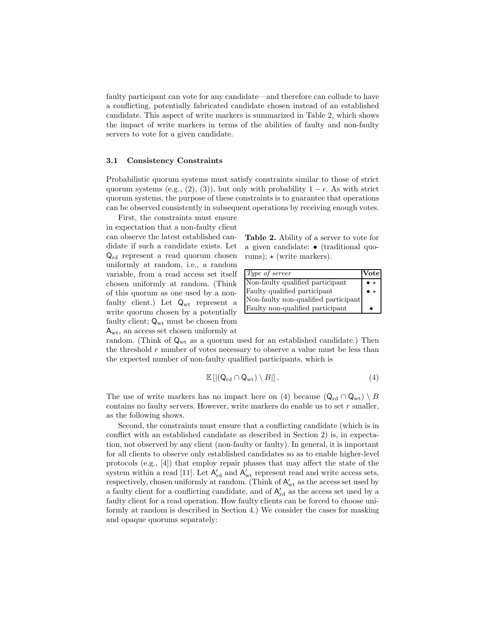faulty participant can vote for any candidate—and therefore can collude to have a conflicting, potentially fabricated candidate chosen instead of an established candidate. This aspect of write markers is summarized in Table 2, which shows the impact of write markers in terms of the abilities of faulty and non-faulty servers to vote for a given candidate.

### 3.1 Consistency Constraints

Probabilistic quorum systems must satisfy constraints similar to those of strict quorum systems (e.g., (2), (3)), but only with probability  $1 - \epsilon$ . As with strict quorum systems, the purpose of these constraints is to guarantee that operations can be observed consistently in subsequent operations by receiving enough votes.

First, the constraints must ensure in expectation that a non-faulty client can observe the latest established candidate if such a candidate exists. Let Qrd represent a read quorum chosen uniformly at random, i.e., a random variable, from a read access set itself chosen uniformly at random. (Think of this quorum as one used by a nonfaulty client.) Let  $Q_{wt}$  represent a write quorum chosen by a potentially faulty client;  $Q_{\rm wt}$  must be chosen from  $\mathsf{A}_{\mathrm{wt}},$  an access set chosen uniformly at

Table 2. Ability of a server to vote for a given candidate: • (traditional quorums);  $\star$  (write markers).

| Type of server                       | <b>Vote</b>                         |
|--------------------------------------|-------------------------------------|
| Non-faulty qualified participant     | $\bullet$ $\star$<br>$\bullet\star$ |
| Faulty qualified participant         |                                     |
| Non-faulty non-qualified participant |                                     |
| Faulty non-qualified participant     |                                     |

random. (Think of  $\mathsf{Q}_{wt}$  as a quorum used for an established candidate.) Then the threshold  $r$  number of votes necessary to observe a value must be less than the expected number of non-faulty qualified participants, which is

$$
\mathbb{E}\left[ \left| \left( Q_{\rm rd} \cap Q_{\rm wt} \right) \setminus B \right| \right]. \tag{4}
$$

The use of write markers has no impact here on (4) because  $(Q_{rd} \cap Q_{wt}) \setminus B$ contains no faulty servers. However, write markers do enable us to set  $r$  smaller, as the following shows.

Second, the constraints must ensure that a conflicting candidate (which is in conflict with an established candidate as described in Section 2) is, in expectation, not observed by any client (non-faulty or faulty). In general, it is important for all clients to observe only established candidates so as to enable higher-level protocols (e.g., [4]) that employ repair phases that may affect the state of the system within a read [11]. Let  $A'_{rd}$  and  $A'_{wt}$  represent read and write access sets, respectively, chosen uniformly at random. (Think of  $A'_{wt}$  as the access set used by a faulty client for a conflicting candidate, and of  $A'_{rd}$  as the access set used by a faulty client for a read operation. How faulty clients can be forced to choose uniformly at random is described in Section 4.) We consider the cases for masking and opaque quorums separately: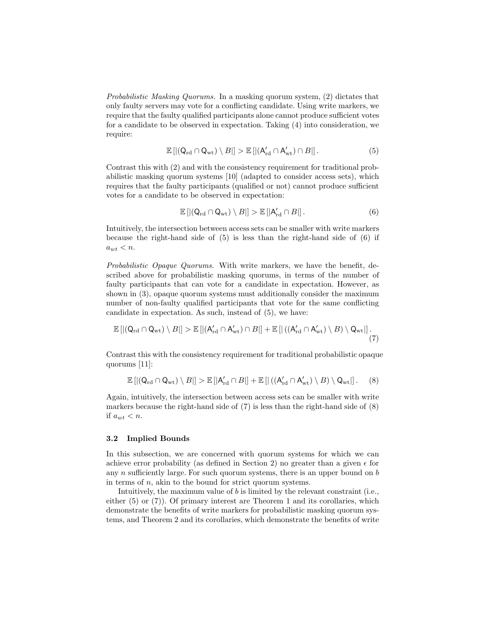Probabilistic Masking Quorums. In a masking quorum system, (2) dictates that only faulty servers may vote for a conflicting candidate. Using write markers, we require that the faulty qualified participants alone cannot produce sufficient votes for a candidate to be observed in expectation. Taking (4) into consideration, we require:

$$
\mathbb{E}\left[\left| \left(Q_{\rm rd} \cap Q_{\rm wt}\right) \setminus B\right|\right] > \mathbb{E}\left[\left| \left(A'_{\rm rd} \cap A'_{\rm wt}\right) \cap B\right|\right].\tag{5}
$$

Contrast this with (2) and with the consistency requirement for traditional probabilistic masking quorum systems [10] (adapted to consider access sets), which requires that the faulty participants (qualified or not) cannot produce sufficient votes for a candidate to be observed in expectation:

$$
\mathbb{E}\left[\left|\left(Q_{\rm rd} \cap Q_{\rm wt}\right) \setminus B\right|\right] > \mathbb{E}\left[\left|A'_{\rm rd} \cap B\right|\right].\tag{6}
$$

Intuitively, the intersection between access sets can be smaller with write markers because the right-hand side of (5) is less than the right-hand side of (6) if  $a_{wt} < n$ .

Probabilistic Opaque Quorums. With write markers, we have the benefit, described above for probabilistic masking quorums, in terms of the number of faulty participants that can vote for a candidate in expectation. However, as shown in (3), opaque quorum systems must additionally consider the maximum number of non-faulty qualified participants that vote for the same conflicting candidate in expectation. As such, instead of (5), we have:

$$
\mathbb{E}\left[\left|\left(Q_{\rm rd} \cap Q_{\rm wt}\right) \setminus B\right|\right] > \mathbb{E}\left[\left|\left(A'_{\rm rd} \cap A'_{\rm wt}\right) \cap B\right|\right] + \mathbb{E}\left[\left|\left(\left(A'_{\rm rd} \cap A'_{\rm wt}\right) \setminus B\right) \setminus Q_{\rm wt}\right|\right].\tag{7}
$$

Contrast this with the consistency requirement for traditional probabilistic opaque quorums [11]:

$$
\mathbb{E}\left[\left|\left(Q_{\rm rd} \cap Q_{\rm wt}\right) \setminus B\right|\right] > \mathbb{E}\left[\left|A'_{\rm rd} \cap B\right|\right] + \mathbb{E}\left[\left|\left(\left(A'_{\rm rd} \cap A'_{\rm wt}\right) \setminus B\right) \setminus Q_{\rm wt}\right|\right].\tag{8}
$$

Again, intuitively, the intersection between access sets can be smaller with write markers because the right-hand side of  $(7)$  is less than the right-hand side of  $(8)$ if  $a_{wt} < n$ .

#### 3.2 Implied Bounds

In this subsection, we are concerned with quorum systems for which we can achieve error probability (as defined in Section 2) no greater than a given  $\epsilon$  for any  $n$  sufficiently large. For such quorum systems, there is an upper bound on  $b$ in terms of  $n$ , akin to the bound for strict quorum systems.

Intuitively, the maximum value of b is limited by the relevant constraint (i.e., either  $(5)$  or  $(7)$ ). Of primary interest are Theorem 1 and its corollaries, which demonstrate the benefits of write markers for probabilistic masking quorum systems, and Theorem 2 and its corollaries, which demonstrate the benefits of write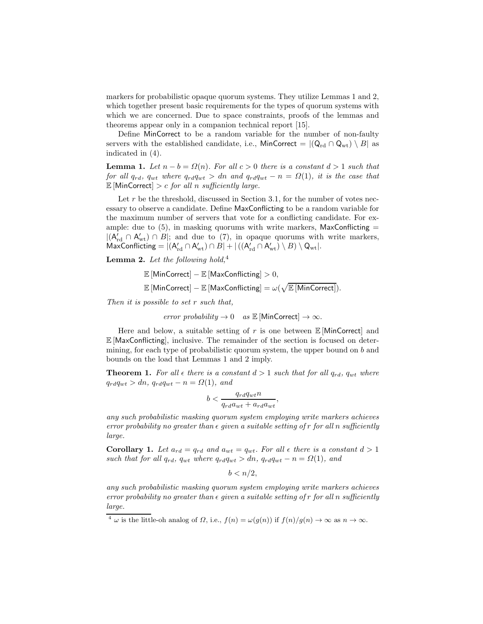markers for probabilistic opaque quorum systems. They utilize Lemmas 1 and 2, which together present basic requirements for the types of quorum systems with which we are concerned. Due to space constraints, proofs of the lemmas and theorems appear only in a companion technical report [15].

Define MinCorrect to be a random variable for the number of non-faulty servers with the established candidate, i.e., MinCorrect =  $|(Q_{rd} \cap Q_{wt}) \setminus B|$  as indicated in (4).

**Lemma 1.** Let  $n - b = \Omega(n)$ . For all  $c > 0$  there is a constant  $d > 1$  such that for all  $q_{rd}$ ,  $q_{wt}$  where  $q_{rd}q_{wt} > dn$  and  $q_{rd}q_{wt} - n = \Omega(1)$ , it is the case that  $\mathbb{E}$  [MinCorrect] > c for all n sufficiently large.

Let  $r$  be the threshold, discussed in Section 3.1, for the number of votes necessary to observe a candidate. Define MaxConflicting to be a random variable for the maximum number of servers that vote for a conflicting candidate. For example: due to  $(5)$ , in masking quorums with write markers, MaxConflicting  $=$  $|(A'_{rd} \cap A'_{wt}) \cap B|$ ; and due to (7), in opaque quorums with write markers,  $\mathsf{MaxConflicing} = |(A_{rd}' \cap A_{wt}') \cap B| + |((A_{rd}' \cap A_{wt}') \setminus B) \setminus Q_{wt}|.$ 

**Lemma 2.** Let the following hold,<sup>4</sup>

 $\mathbb{E}$ [MinCorrect] –  $\mathbb{E}$ [MaxConflicting]  $>0$ ,

 $\mathbb{E}\left[\mathsf{MinCorrect}\right] - \mathbb{E}\left[\mathsf{MaxConfig}\right] = \omega(\sqrt{\mathbb{E}\left[\mathsf{MinCorrect}\right]}).$ 

Then it is possible to set r such that,

error probability  $\rightarrow 0$  as  $\mathbb{E}$ [MinCorrect]  $\rightarrow \infty$ .

Here and below, a suitable setting of r is one between  $\mathbb E$  [MinCorrect] and  $\mathbb{E}$  [MaxConflicting], inclusive. The remainder of the section is focused on determining, for each type of probabilistic quorum system, the upper bound on b and bounds on the load that Lemmas 1 and 2 imply.

**Theorem 1.** For all  $\epsilon$  there is a constant  $d > 1$  such that for all  $q_{rd}$ ,  $q_{wt}$  where  $q_{rd}q_{wt} > dn$ ,  $q_{rd}q_{wt} - n = \Omega(1)$ , and

$$
b < \frac{q_{rd}q_{wt}n}{q_{rd}a_{wt} + a_{rd}a_{wt}},
$$

any such probabilistic masking quorum system employing write markers achieves error probability no greater than  $\epsilon$  given a suitable setting of r for all n sufficiently large.

**Corollary 1.** Let  $a_{rd} = q_{rd}$  and  $a_{wt} = q_{wt}$ . For all  $\epsilon$  there is a constant  $d > 1$ such that for all  $q_{rd}$ ,  $q_{wt}$  where  $q_{rd}q_{wt} > dn$ ,  $q_{rd}q_{wt} - n = \Omega(1)$ , and

 $b < n/2$ .

any such probabilistic masking quorum system employing write markers achieves error probability no greater than  $\epsilon$  given a suitable setting of r for all n sufficiently large.

<sup>&</sup>lt;sup>4</sup>  $\omega$  is the little-oh analog of  $\Omega$ , i.e.,  $f(n) = \omega(g(n))$  if  $f(n)/g(n) \to \infty$  as  $n \to \infty$ .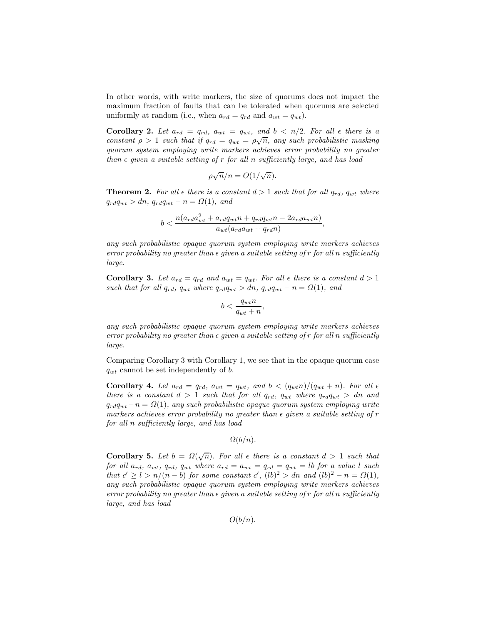In other words, with write markers, the size of quorums does not impact the maximum fraction of faults that can be tolerated when quorums are selected uniformly at random (i.e., when  $a_{rd} = q_{rd}$  and  $a_{wt} = q_{wt}$ ).

Corollary 2. Let  $a_{rd} = q_{rd}$ ,  $a_{wt} = q_{wt}$ , and  $b < n/2$ . For all  $\epsilon$  there is a constant  $\rho > 1$  such that if  $q_{rd} = q_{wt} = \rho \sqrt{n}$ , any such probabilistic masking quorum system employing write markers achieves error probability no greater than  $\epsilon$  given a suitable setting of r for all n sufficiently large, and has load

$$
\rho \sqrt{n}/n = O(1/\sqrt{n}).
$$

**Theorem 2.** For all  $\epsilon$  there is a constant  $d > 1$  such that for all  $q_{rd}$ ,  $q_{wt}$  where  $q_{rd}q_{wt} > dn$ ,  $q_{rd}q_{wt} - n = \Omega(1)$ , and

$$
b<\frac{n(a_{rd}a_{wt}^2+a_{rd}q_{wt}n+q_{rd}q_{wt}n-2a_{rd}a_{wt}n)}{a_{wt}(a_{rd}a_{wt}+q_{rd}n)},
$$

any such probabilistic opaque quorum system employing write markers achieves error probability no greater than  $\epsilon$  given a suitable setting of r for all n sufficiently large.

**Corollary 3.** Let  $a_{rd} = q_{rd}$  and  $a_{wt} = q_{wt}$ . For all  $\epsilon$  there is a constant  $d > 1$ such that for all  $q_{rd}$ ,  $q_{wt}$  where  $q_{rd}q_{wt} > dn$ ,  $q_{rd}q_{wt} - n = \Omega(1)$ , and

$$
b < \frac{q_{wt}n}{q_{wt}+n},
$$

any such probabilistic opaque quorum system employing write markers achieves error probability no greater than  $\epsilon$  given a suitable setting of r for all n sufficiently large.

Comparing Corollary 3 with Corollary 1, we see that in the opaque quorum case  $q_{wt}$  cannot be set independently of b.

Corollary 4. Let  $a_{rd} = q_{rd}$ ,  $a_{wt} = q_{wt}$ , and  $b < (q_{wt}n)/(q_{wt} + n)$ . For all  $\epsilon$ there is a constant  $d > 1$  such that for all  $q_{rd}$ ,  $q_{wt}$  where  $q_{rd}q_{wt} > dn$  and  $q_{rd}q_{wt}-n = \Omega(1)$ , any such probabilistic opaque quorum system employing write markers achieves error probability no greater than  $\epsilon$  given a suitable setting of r for all n sufficiently large, and has load

$$
\Omega(b/n)
$$
.

**Corollary 5.** Let  $b = \Omega(\sqrt{n})$ . For all  $\epsilon$  there is a constant  $d > 1$  such that for all  $a_{rd}$ ,  $a_{wt}$ ,  $q_{rd}$ ,  $q_{wt}$  where  $a_{rd} = a_{wt} = q_{rd} = q_{wt} = lb$  for a value l such that  $c' \geq l > n/(n - b)$  for some constant  $c'$ ,  $(lb)^2 > dn$  and  $(lb)^2 - n = \Omega(1)$ , any such probabilistic opaque quorum system employing write markers achieves error probability no greater than  $\epsilon$  given a suitable setting of r for all n sufficiently large, and has load

 $O(b/n)$ .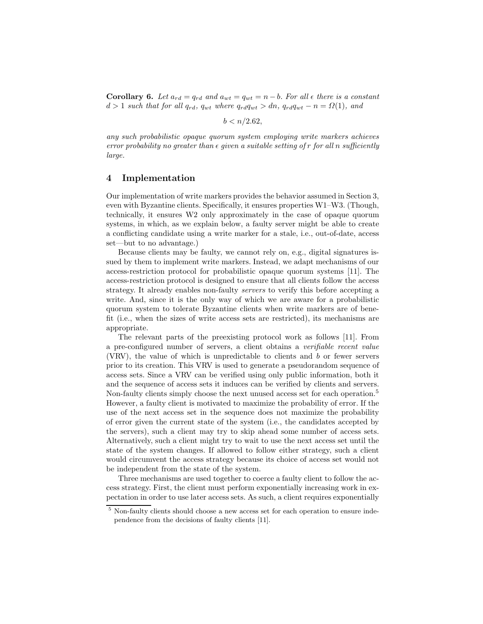**Corollary 6.** Let  $a_{rd} = q_{rd}$  and  $a_{wt} = q_{wt} = n - b$ . For all  $\epsilon$  there is a constant  $d > 1$  such that for all  $q_{rd}$ ,  $q_{wt}$  where  $q_{rd}q_{wt} > dn$ ,  $q_{rd}q_{wt} - n = \Omega(1)$ , and

 $b < n/2.62$ .

any such probabilistic opaque quorum system employing write markers achieves error probability no greater than  $\epsilon$  given a suitable setting of r for all n sufficiently large.

## 4 Implementation

Our implementation of write markers provides the behavior assumed in Section 3, even with Byzantine clients. Specifically, it ensures properties W1–W3. (Though, technically, it ensures W2 only approximately in the case of opaque quorum systems, in which, as we explain below, a faulty server might be able to create a conflicting candidate using a write marker for a stale, i.e., out-of-date, access set—but to no advantage.)

Because clients may be faulty, we cannot rely on, e.g., digital signatures issued by them to implement write markers. Instead, we adapt mechanisms of our access-restriction protocol for probabilistic opaque quorum systems [11]. The access-restriction protocol is designed to ensure that all clients follow the access strategy. It already enables non-faulty servers to verify this before accepting a write. And, since it is the only way of which we are aware for a probabilistic quorum system to tolerate Byzantine clients when write markers are of benefit (i.e., when the sizes of write access sets are restricted), its mechanisms are appropriate.

The relevant parts of the preexisting protocol work as follows [11]. From a pre-configured number of servers, a client obtains a verifiable recent value (VRV), the value of which is unpredictable to clients and b or fewer servers prior to its creation. This VRV is used to generate a pseudorandom sequence of access sets. Since a VRV can be verified using only public information, both it and the sequence of access sets it induces can be verified by clients and servers. Non-faulty clients simply choose the next unused access set for each operation.<sup>5</sup> However, a faulty client is motivated to maximize the probability of error. If the use of the next access set in the sequence does not maximize the probability of error given the current state of the system (i.e., the candidates accepted by the servers), such a client may try to skip ahead some number of access sets. Alternatively, such a client might try to wait to use the next access set until the state of the system changes. If allowed to follow either strategy, such a client would circumvent the access strategy because its choice of access set would not be independent from the state of the system.

Three mechanisms are used together to coerce a faulty client to follow the access strategy. First, the client must perform exponentially increasing work in expectation in order to use later access sets. As such, a client requires exponentially

<sup>5</sup> Non-faulty clients should choose a new access set for each operation to ensure independence from the decisions of faulty clients [11].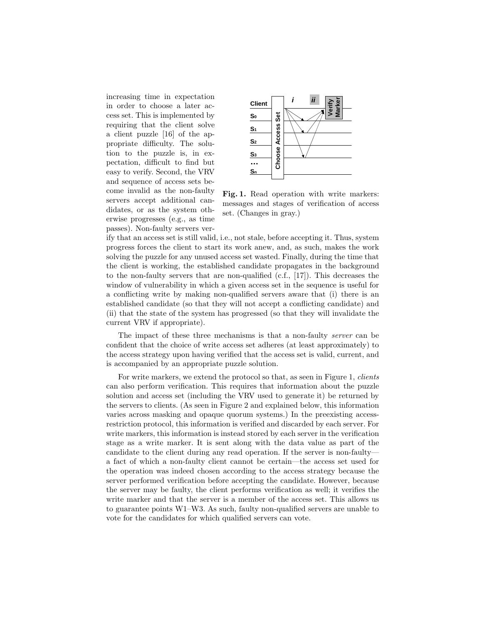increasing time in expectation in order to choose a later access set. This is implemented by requiring that the client solve a client puzzle [16] of the appropriate difficulty. The solution to the puzzle is, in expectation, difficult to find but easy to verify. Second, the VRV and sequence of access sets become invalid as the non-faulty servers accept additional candidates, or as the system otherwise progresses (e.g., as time passes). Non-faulty servers ver-



Fig. 1. Read operation with write markers: messages and stages of verification of access set. (Changes in gray.)

ify that an access set is still valid, i.e., not stale, before accepting it. Thus, system progress forces the client to start its work anew, and, as such, makes the work solving the puzzle for any unused access set wasted. Finally, during the time that the client is working, the established candidate propagates in the background to the non-faulty servers that are non-qualified  $(c.f., [17])$ . This decreases the window of vulnerability in which a given access set in the sequence is useful for a conflicting write by making non-qualified servers aware that (i) there is an established candidate (so that they will not accept a conflicting candidate) and (ii) that the state of the system has progressed (so that they will invalidate the current VRV if appropriate).

The impact of these three mechanisms is that a non-faulty server can be confident that the choice of write access set adheres (at least approximately) to the access strategy upon having verified that the access set is valid, current, and is accompanied by an appropriate puzzle solution.

For write markers, we extend the protocol so that, as seen in Figure 1, *clients* can also perform verification. This requires that information about the puzzle solution and access set (including the VRV used to generate it) be returned by the servers to clients. (As seen in Figure 2 and explained below, this information varies across masking and opaque quorum systems.) In the preexisting accessrestriction protocol, this information is verified and discarded by each server. For write markers, this information is instead stored by each server in the verification stage as a write marker. It is sent along with the data value as part of the candidate to the client during any read operation. If the server is non-faulty a fact of which a non-faulty client cannot be certain—the access set used for the operation was indeed chosen according to the access strategy because the server performed verification before accepting the candidate. However, because the server may be faulty, the client performs verification as well; it verifies the write marker and that the server is a member of the access set. This allows us to guarantee points W1–W3. As such, faulty non-qualified servers are unable to vote for the candidates for which qualified servers can vote.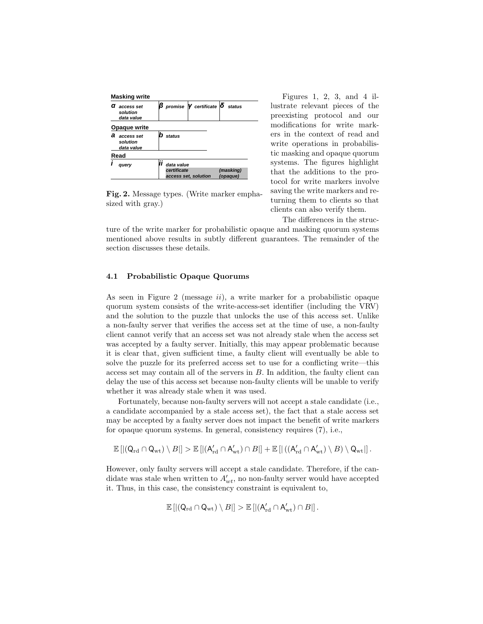

Fig. 2. Message types. (Write marker emphasized with gray.)

Figures 1, 2, 3, and 4 illustrate relevant pieces of the preexisting protocol and our modifications for write markers in the context of read and write operations in probabilistic masking and opaque quorum systems. The figures highlight that the additions to the protocol for write markers involve saving the write markers and returning them to clients so that clients can also verify them.

The differences in the struc-

ture of the write marker for probabilistic opaque and masking quorum systems mentioned above results in subtly different guarantees. The remainder of the section discusses these details.

## 4.1 Probabilistic Opaque Quorums

As seen in Figure 2 (message  $ii$ ), a write marker for a probabilistic opaque quorum system consists of the write-access-set identifier (including the VRV) and the solution to the puzzle that unlocks the use of this access set. Unlike a non-faulty server that verifies the access set at the time of use, a non-faulty client cannot verify that an access set was not already stale when the access set was accepted by a faulty server. Initially, this may appear problematic because it is clear that, given sufficient time, a faulty client will eventually be able to solve the puzzle for its preferred access set to use for a conflicting write—this access set may contain all of the servers in B. In addition, the faulty client can delay the use of this access set because non-faulty clients will be unable to verify whether it was already stale when it was used.

Fortunately, because non-faulty servers will not accept a stale candidate (i.e., a candidate accompanied by a stale access set), the fact that a stale access set may be accepted by a faulty server does not impact the benefit of write markers for opaque quorum systems. In general, consistency requires (7), i.e.,

$$
\mathbb{E}\left[\left|\left(Q_{\rm rd} \cap Q_{\rm wt}\right) \setminus B\right|\right] > \mathbb{E}\left[\left|\left(A_{\rm rd}' \cap A_{\rm wt}'\right) \cap B\right|\right] + \mathbb{E}\left[\left|\left(\left(A_{\rm rd}' \cap A_{\rm wt}'\right) \setminus B\right) \setminus Q_{\rm wt}\right|\right].
$$

However, only faulty servers will accept a stale candidate. Therefore, if the candidate was stale when written to  $A'_{wt}$ , no non-faulty server would have accepted it. Thus, in this case, the consistency constraint is equivalent to,

$$
\mathbb{E}\left[\left|\left(Q_{\text{rd}} \cap Q_{\text{wt}}\right) \setminus B\right|\right] > \mathbb{E}\left[\left|\left(A'_{\text{rd}} \cap A'_{\text{wt}}\right) \cap B\right|\right].
$$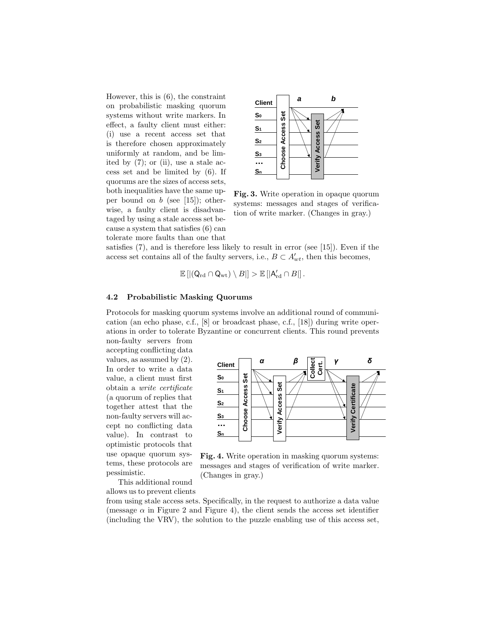However, this is (6), the constraint on probabilistic masking quorum systems without write markers. In effect, a faulty client must either: (i) use a recent access set that is therefore chosen approximately uniformly at random, and be limited by  $(7)$ ; or  $(ii)$ , use a stale access set and be limited by (6). If quorums are the sizes of access sets, both inequalities have the same upper bound on  $b$  (see [15]); otherwise, a faulty client is disadvantaged by using a stale access set because a system that satisfies (6) can tolerate more faults than one that



Fig. 3. Write operation in opaque quorum systems: messages and stages of verification of write marker. (Changes in gray.)

satisfies (7), and is therefore less likely to result in error (see [15]). Even if the access set contains all of the faulty servers, i.e.,  $B \subset A'_{wt}$ , then this becomes,

$$
\mathbb{E}\left[\left|\left(Q_{\rm rd} \cap Q_{\rm wt}\right) \setminus B\right|\right] > \mathbb{E}\left[\left|A'_{\rm rd} \cap B\right|\right].
$$

#### 4.2 Probabilistic Masking Quorums

Protocols for masking quorum systems involve an additional round of communication (an echo phase, c.f., [8] or broadcast phase, c.f., [18]) during write operations in order to tolerate Byzantine or concurrent clients. This round prevents

non-faulty servers from accepting conflicting data values, as assumed by (2). In order to write a data value, a client must first obtain a write certificate (a quorum of replies that together attest that the non-faulty servers will accept no conflicting data value). In contrast to optimistic protocols that use opaque quorum systems, these protocols are pessimistic.





This additional round allows us to prevent clients

(Changes in gray.)

from using stale access sets. Specifically, in the request to authorize a data value (message  $\alpha$  in Figure 2 and Figure 4), the client sends the access set identifier (including the VRV), the solution to the puzzle enabling use of this access set,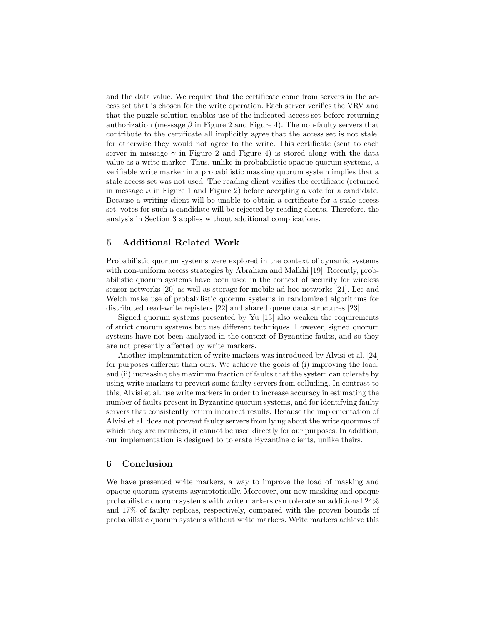and the data value. We require that the certificate come from servers in the access set that is chosen for the write operation. Each server verifies the VRV and that the puzzle solution enables use of the indicated access set before returning authorization (message  $\beta$  in Figure 2 and Figure 4). The non-faulty servers that contribute to the certificate all implicitly agree that the access set is not stale, for otherwise they would not agree to the write. This certificate (sent to each server in message  $\gamma$  in Figure 2 and Figure 4) is stored along with the data value as a write marker. Thus, unlike in probabilistic opaque quorum systems, a verifiable write marker in a probabilistic masking quorum system implies that a stale access set was not used. The reading client verifies the certificate (returned in message ii in Figure 1 and Figure 2) before accepting a vote for a candidate. Because a writing client will be unable to obtain a certificate for a stale access set, votes for such a candidate will be rejected by reading clients. Therefore, the analysis in Section 3 applies without additional complications.

# 5 Additional Related Work

Probabilistic quorum systems were explored in the context of dynamic systems with non-uniform access strategies by Abraham and Malkhi [19]. Recently, probabilistic quorum systems have been used in the context of security for wireless sensor networks [20] as well as storage for mobile ad hoc networks [21]. Lee and Welch make use of probabilistic quorum systems in randomized algorithms for distributed read-write registers [22] and shared queue data structures [23].

Signed quorum systems presented by Yu [13] also weaken the requirements of strict quorum systems but use different techniques. However, signed quorum systems have not been analyzed in the context of Byzantine faults, and so they are not presently affected by write markers.

Another implementation of write markers was introduced by Alvisi et al. [24] for purposes different than ours. We achieve the goals of (i) improving the load, and (ii) increasing the maximum fraction of faults that the system can tolerate by using write markers to prevent some faulty servers from colluding. In contrast to this, Alvisi et al. use write markers in order to increase accuracy in estimating the number of faults present in Byzantine quorum systems, and for identifying faulty servers that consistently return incorrect results. Because the implementation of Alvisi et al. does not prevent faulty servers from lying about the write quorums of which they are members, it cannot be used directly for our purposes. In addition, our implementation is designed to tolerate Byzantine clients, unlike theirs.

## 6 Conclusion

We have presented write markers, a way to improve the load of masking and opaque quorum systems asymptotically. Moreover, our new masking and opaque probabilistic quorum systems with write markers can tolerate an additional 24% and 17% of faulty replicas, respectively, compared with the proven bounds of probabilistic quorum systems without write markers. Write markers achieve this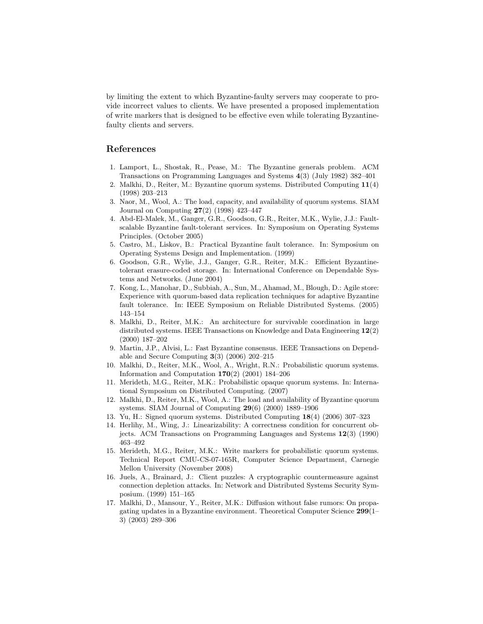by limiting the extent to which Byzantine-faulty servers may cooperate to provide incorrect values to clients. We have presented a proposed implementation of write markers that is designed to be effective even while tolerating Byzantinefaulty clients and servers.

# References

- 1. Lamport, L., Shostak, R., Pease, M.: The Byzantine generals problem. ACM Transactions on Programming Languages and Systems 4(3) (July 1982) 382–401
- 2. Malkhi, D., Reiter, M.: Byzantine quorum systems. Distributed Computing 11(4) (1998) 203–213
- 3. Naor, M., Wool, A.: The load, capacity, and availability of quorum systems. SIAM Journal on Computing 27(2) (1998) 423–447
- 4. Abd-El-Malek, M., Ganger, G.R., Goodson, G.R., Reiter, M.K., Wylie, J.J.: Faultscalable Byzantine fault-tolerant services. In: Symposium on Operating Systems Principles. (October 2005)
- 5. Castro, M., Liskov, B.: Practical Byzantine fault tolerance. In: Symposium on Operating Systems Design and Implementation. (1999)
- 6. Goodson, G.R., Wylie, J.J., Ganger, G.R., Reiter, M.K.: Efficient Byzantinetolerant erasure-coded storage. In: International Conference on Dependable Systems and Networks. (June 2004)
- 7. Kong, L., Manohar, D., Subbiah, A., Sun, M., Ahamad, M., Blough, D.: Agile store: Experience with quorum-based data replication techniques for adaptive Byzantine fault tolerance. In: IEEE Symposium on Reliable Distributed Systems. (2005) 143–154
- 8. Malkhi, D., Reiter, M.K.: An architecture for survivable coordination in large distributed systems. IEEE Transactions on Knowledge and Data Engineering 12(2) (2000) 187–202
- 9. Martin, J.P., Alvisi, L.: Fast Byzantine consensus. IEEE Transactions on Dependable and Secure Computing  $3(3)$  (2006) 202–215
- 10. Malkhi, D., Reiter, M.K., Wool, A., Wright, R.N.: Probabilistic quorum systems. Information and Computation  $170(2)$  (2001) 184–206
- 11. Merideth, M.G., Reiter, M.K.: Probabilistic opaque quorum systems. In: International Symposium on Distributed Computing. (2007)
- 12. Malkhi, D., Reiter, M.K., Wool, A.: The load and availability of Byzantine quorum systems. SIAM Journal of Computing 29(6) (2000) 1889–1906
- 13. Yu, H.: Signed quorum systems. Distributed Computing 18(4) (2006) 307–323
- 14. Herlihy, M., Wing, J.: Linearizability: A correctness condition for concurrent objects. ACM Transactions on Programming Languages and Systems 12(3) (1990) 463–492
- 15. Merideth, M.G., Reiter, M.K.: Write markers for probabilistic quorum systems. Technical Report CMU-CS-07-165R, Computer Science Department, Carnegie Mellon University (November 2008)
- 16. Juels, A., Brainard, J.: Client puzzles: A cryptographic countermeasure against connection depletion attacks. In: Network and Distributed Systems Security Symposium. (1999) 151–165
- 17. Malkhi, D., Mansour, Y., Reiter, M.K.: Diffusion without false rumors: On propagating updates in a Byzantine environment. Theoretical Computer Science 299(1– 3) (2003) 289–306